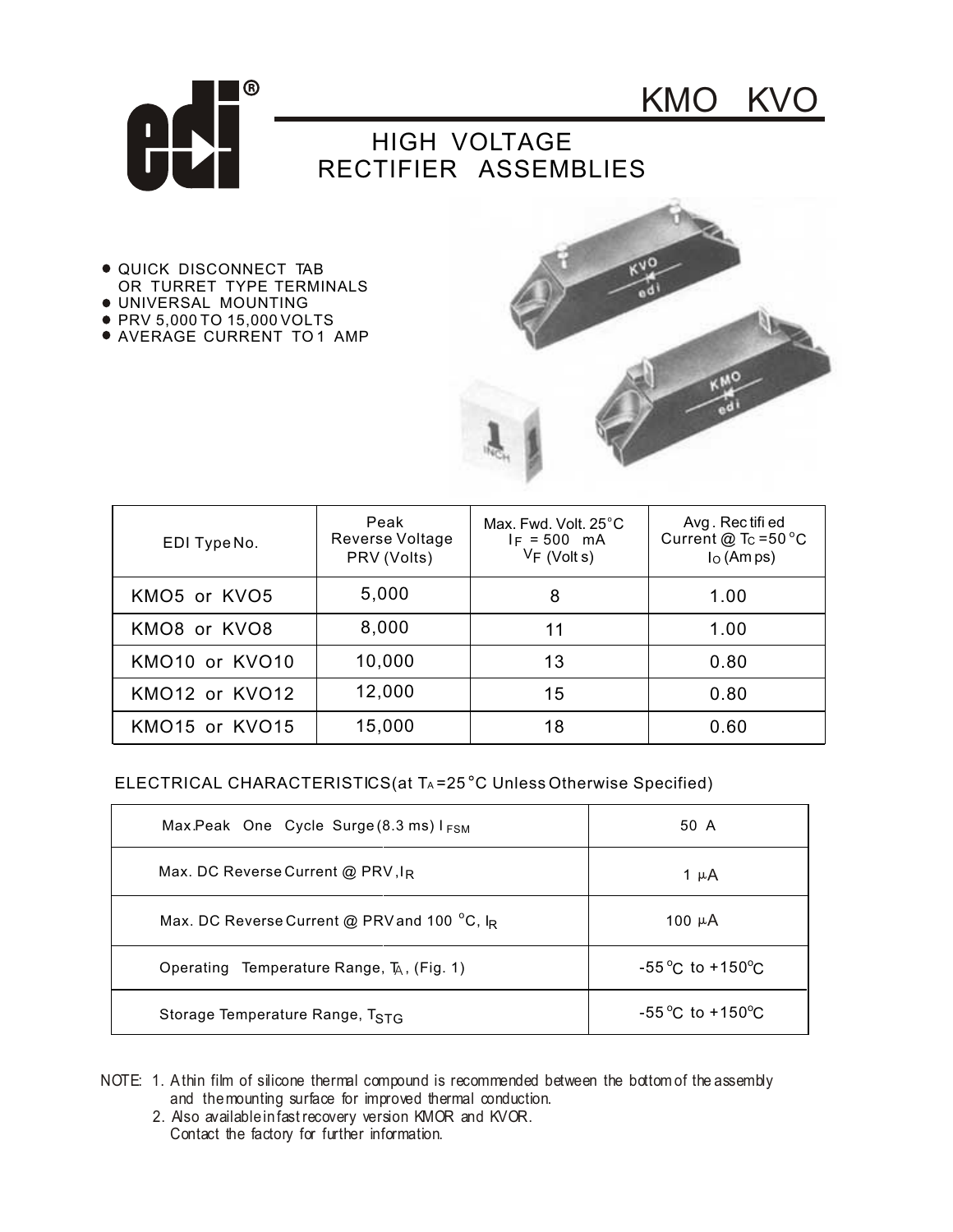

KMO KVO

## HIGH VOLTAGE RECTIFIER ASSEMBLIES

- QUICK DISCONNECT TAB OR TURRET TYPE TERMINALS
- UNIVERSAL MOUNTING
- PRV 5,000 TO 15,000 VOLTS
- AVERAGE CURRENT TO 1 AMP



| EDI Type No.                           | Peak<br>Reverse Voltage<br>PRV (Volts) | Max, Fwd, Volt, 25°C<br>$I_F = 500$ mA<br>$V_F$ (Volt s) | Avg. Rectified<br>Current @ $T_C = 50 °C$<br>$IO$ (Am ps) |
|----------------------------------------|----------------------------------------|----------------------------------------------------------|-----------------------------------------------------------|
| KMO5 or KVO5                           | 5,000                                  | 8                                                        | 1.00                                                      |
| KMO8 or KVO8                           | 8,000                                  | 11                                                       | 1.00                                                      |
| KMO10 or KVO10                         | 10,000                                 | 13                                                       | 0.80                                                      |
| KMO12 or KVO12                         | 12,000                                 | 15                                                       | 0.80                                                      |
| KMO <sub>15</sub> or KVO <sub>15</sub> | 15,000                                 | 18                                                       | 0.60                                                      |

## ELECTRICAL CHARACTERISTICS(at TA=25<sup>°</sup>C Unless Otherwise Specified)

| Max.Peak One Cycle Surge $(8.3 \text{ ms})$ I <sub>FSM</sub> | 50 A                                |
|--------------------------------------------------------------|-------------------------------------|
| Max. DC Reverse Current @ PRV, $I_R$                         | 1 µ A                               |
| Max. DC Reverse Current @ PRV and 100 °C, IR                 | 100 $\mu$ A                         |
| Operating Temperature Range, T <sub>A</sub> , (Fig. 1)       | $-55^{\circ}$ C to $+150^{\circ}$ C |
| Storage Temperature Range, TSTG                              | $-55^{\circ}$ C to $+150^{\circ}$ C |

- NOTE: 1. Athin film of silicone thermal compound is recommended between the bottom of the assembly and themounting surface for improved thermal conduction.
	- 2. Also availableinfast recovery version KMOR and KVOR. Contact the factory for further information.